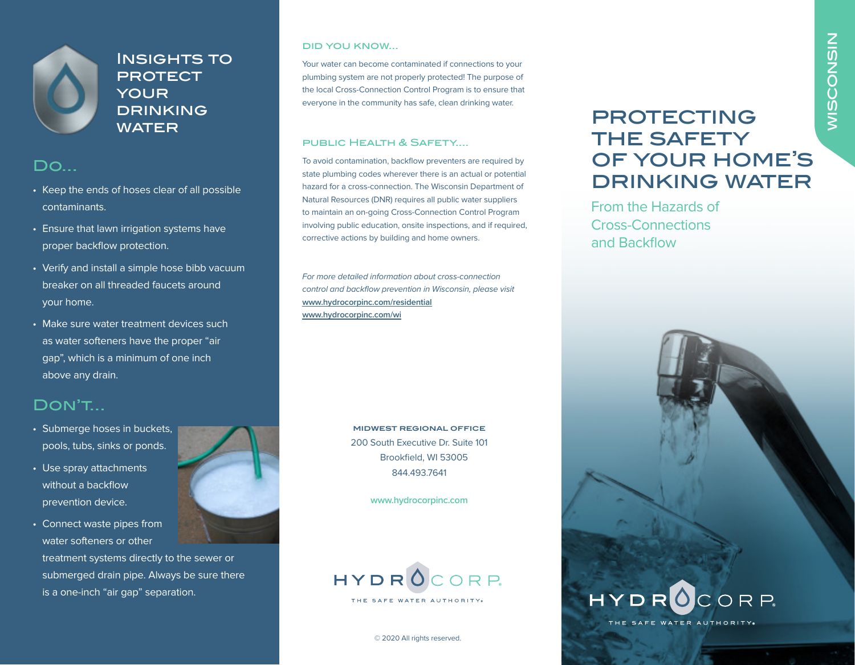

INSIGHTS TO **PROTECT** your **DRINKING WATER** 

## Do...

- Keep the ends of hoses clear of all possible contaminants.
- Ensure that lawn irrigation systems have proper backflow protection.
- Verify and install a simple hose bibb vacuum breaker on all threaded faucets around your home.
- Make sure water treatment devices such as water softeners have the proper "air gap", which is a minimum of one inch above any drain.

## Don't...

- Submerge hoses in buckets, pools, tubs, sinks or ponds.
- Use spray attachments without a backflow prevention device.
- Connect waste pipes from water softeners or other treatment systems directly to the sewer or submerged drain pipe. Always be sure there is a one-inch "air gap" separation.



#### did you know...

Your water can become contaminated if connections to your plumbing system are not properly protected! The purpose of the local Cross-Connection Control Program is to ensure that everyone in the community has safe, clean drinking water.

#### public Health & Safety....

To avoid contamination, backflow preventers are required by state plumbing codes wherever there is an actual or potential hazard for a cross-connection. The Wisconsin Department of Natural Resources (DNR) requires all public water suppliers to maintain an on-going Cross-Connection Control Program involving public education, onsite inspections, and if required, corrective actions by building and home owners.

For more detailed information about cross-connection control and backflow prevention in Wisconsin, please visit **www.hydrocorpinc.com/residential www.hydrocorpinc.com/wi**

> **MIDWEST REGIONAL OFFICE** 200 South Executive Dr. Suite 101 Brookfield, WI 53005 844.493.7641

> > **www.hydrocorpinc.com**



© 2020 All rights reserved.

# **PROTECTING** THE SAFETY of your home's drinking water

From the Hazards of Cross-Connections and Backflow



THE SAFE WATER AUTHORITY